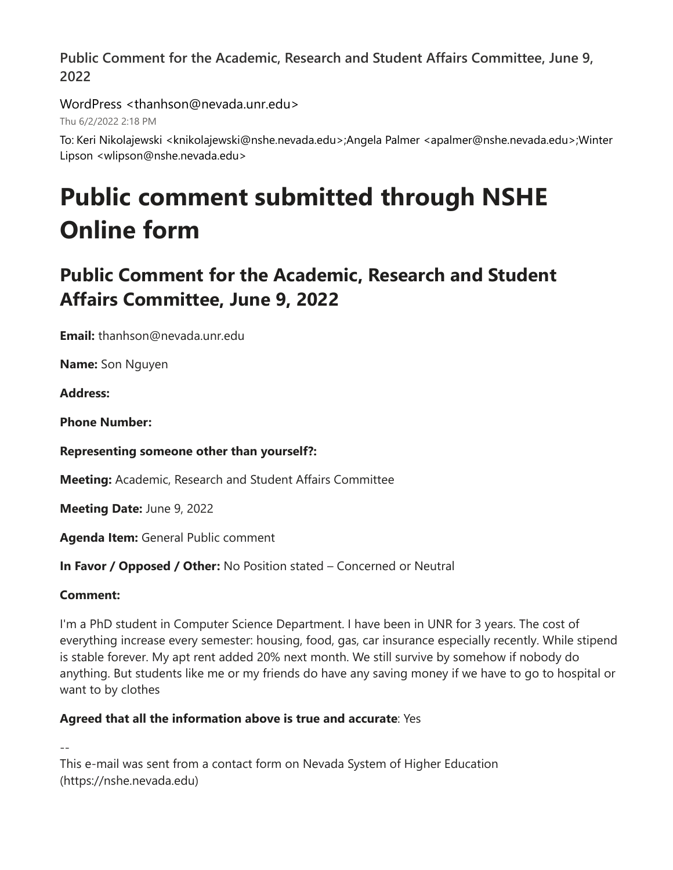WordPress <thanhson@nevada.unr.edu>

Thu 6/2/2022 2:18 PM

To: Keri Nikolajewski <knikolajewski@nshe.nevada.edu>;Angela Palmer <apalmer@nshe.nevada.edu>;Winter Lipson <wlipson@nshe.nevada.edu>

# **Public comment submitted through NSHE Online form**

# **Public Comment for the Academic, Research and Student Affairs Committee, June 9, 2022**

**Email:** thanhson@nevada.unr.edu

**Name:** Son Nguyen

**Address:** 

**Phone Number:** 

# **Representing someone other than yourself?:**

**Meeting:** Academic, Research and Student Affairs Committee

**Meeting Date:** June 9, 2022

**Agenda Item:** General Public comment

**In Favor / Opposed / Other:** No Position stated – Concerned or Neutral

# **Comment:**

I'm a PhD student in Computer Science Department. I have been in UNR for 3 years. The cost of everything increase every semester: housing, food, gas, car insurance especially recently. While stipend is stable forever. My apt rent added 20% next month. We still survive by somehow if nobody do anything. But students like me or my friends do have any saving money if we have to go to hospital or want to by clothes

# **Agreed that all the information above is true and accurate**: Yes

--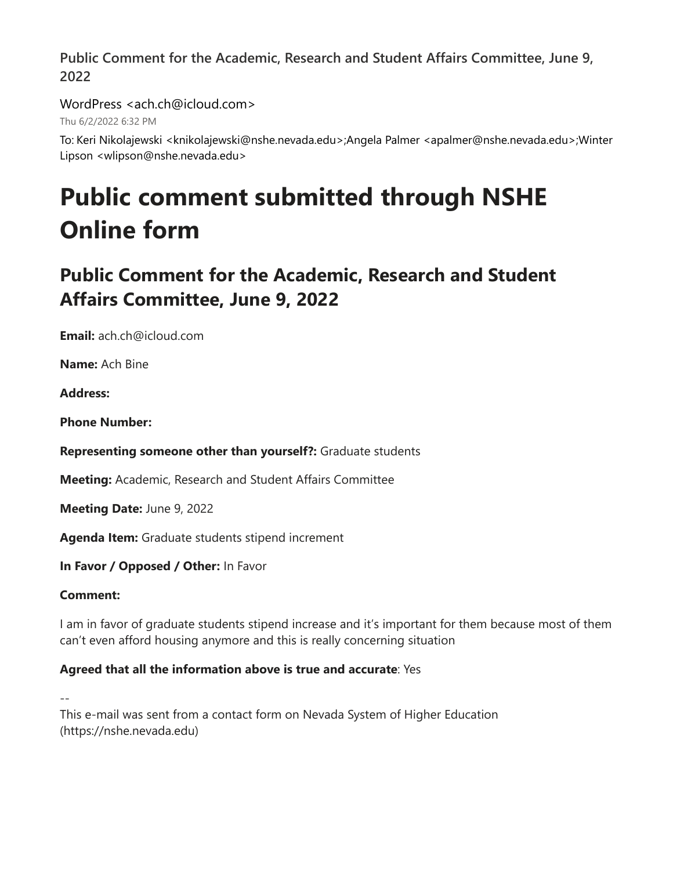WordPress <ach.ch@icloud.com>

Thu 6/2/2022 6:32 PM

To: Keri Nikolajewski <knikolajewski@nshe.nevada.edu>;Angela Palmer <apalmer@nshe.nevada.edu>;Winter Lipson <wlipson@nshe.nevada.edu>

# **Public comment submitted through NSHE Online form**

# **Public Comment for the Academic, Research and Student Affairs Committee, June 9, 2022**

**Email:** ach.ch@icloud.com

**Name:** Ach Bine

**Address:**

**Phone Number:**

**Representing someone other than yourself?:** Graduate students

**Meeting:** Academic, Research and Student Affairs Committee

**Meeting Date:** June 9, 2022

**Agenda Item:** Graduate students stipend increment

**In Favor / Opposed / Other:** In Favor

# **Comment:**

I am in favor of graduate students stipend increase and it's important for them because most of them can't even afford housing anymore and this is really concerning situation

# **Agreed that all the information above is true and accurate**: Yes

--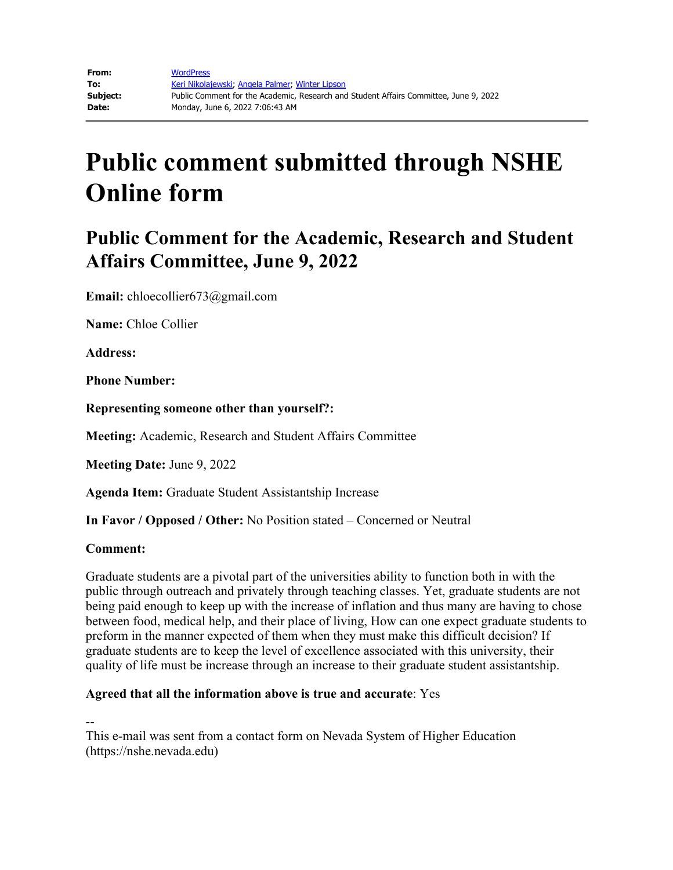# **Public comment submitted through NSHE Online form**

# **Public Comment for the Academic, Research and Student Affairs Committee, June 9, 2022**

**Email:** chloecollier673@gmail.com

**Name:** Chloe Collier

**Address:** 

**Phone Number:** 

**Representing someone other than yourself?:**

**Meeting:** Academic, Research and Student Affairs Committee

**Meeting Date:** June 9, 2022

**Agenda Item:** Graduate Student Assistantship Increase

**In Favor / Opposed / Other:** No Position stated – Concerned or Neutral

#### **Comment:**

Graduate students are a pivotal part of the universities ability to function both in with the public through outreach and privately through teaching classes. Yet, graduate students are not being paid enough to keep up with the increase of inflation and thus many are having to chose between food, medical help, and their place of living, How can one expect graduate students to preform in the manner expected of them when they must make this difficult decision? If graduate students are to keep the level of excellence associated with this university, their quality of life must be increase through an increase to their graduate student assistantship.

#### **Agreed that all the information above is true and accurate**: Yes

--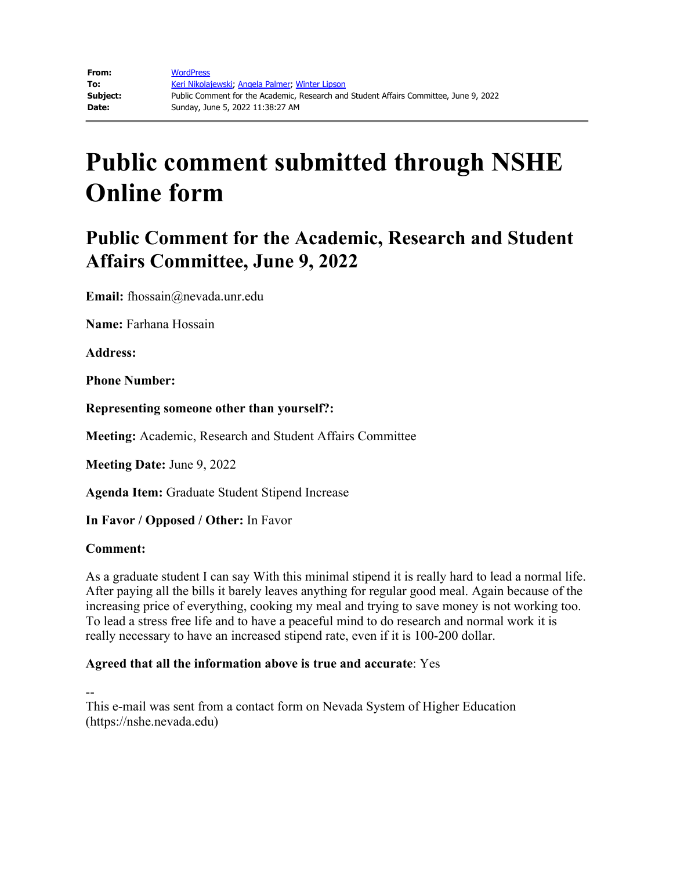# **Public comment submitted through NSHE Online form**

# **Public Comment for the Academic, Research and Student Affairs Committee, June 9, 2022**

**Email:** fhossain@nevada.unr.edu

**Name:** Farhana Hossain

**Address:**

**Phone Number:**

**Representing someone other than yourself?:**

**Meeting:** Academic, Research and Student Affairs Committee

**Meeting Date:** June 9, 2022

**Agenda Item:** Graduate Student Stipend Increase

**In Favor / Opposed / Other:** In Favor

#### **Comment:**

As a graduate student I can say With this minimal stipend it is really hard to lead a normal life. After paying all the bills it barely leaves anything for regular good meal. Again because of the increasing price of everything, cooking my meal and trying to save money is not working too. To lead a stress free life and to have a peaceful mind to do research and normal work it is really necessary to have an increased stipend rate, even if it is 100-200 dollar.

#### **Agreed that all the information above is true and accurate**: Yes

--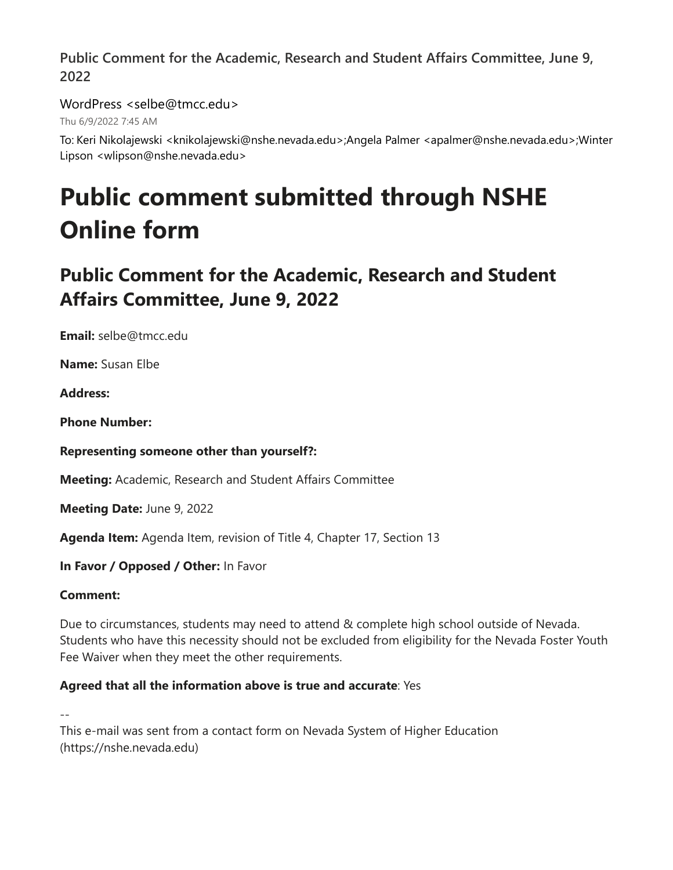### WordPress <selbe@tmcc.edu>

Thu 6/9/2022 7:45 AM

To: Keri Nikolajewski <knikolajewski@nshe.nevada.edu>;Angela Palmer <apalmer@nshe.nevada.edu>;Winter Lipson <wlipson@nshe.nevada.edu>

# **Public comment submitted through NSHE Online form**

# **Public Comment for the Academic, Research and Student Affairs Committee, June 9, 2022**

**Email:** selbe@tmcc.edu

**Name:** Susan Elbe

**Address:**

**Phone Number:**

# **Representing someone other than yourself?:**

**Meeting:** Academic, Research and Student Affairs Committee

**Meeting Date:** June 9, 2022

**Agenda Item:** Agenda Item, revision of Title 4, Chapter 17, Section 13

**In Favor / Opposed / Other:** In Favor

# **Comment:**

Due to circumstances, students may need to attend & complete high school outside of Nevada. Students who have this necessity should not be excluded from eligibility for the Nevada Foster Youth Fee Waiver when they meet the other requirements.

# **Agreed that all the information above is true and accurate**: Yes